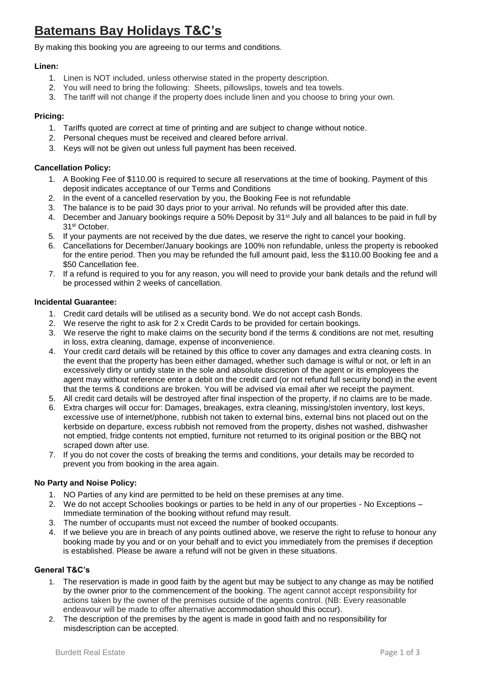# **Batemans Bay Holidays T&C's**

By making this booking you are agreeing to our terms and conditions.

# **Linen:**

- 1. Linen is NOT included, unless otherwise stated in the property description.
- 2. You will need to bring the following: Sheets, pillowslips, towels and tea towels.
- 3. The tariff will not change if the property does include linen and you choose to bring your own.

# **Pricing:**

- 1. Tariffs quoted are correct at time of printing and are subject to change without notice.
- 2. Personal cheques must be received and cleared before arrival.
- 3. Keys will not be given out unless full payment has been received.

## **Cancellation Policy:**

- 1. A Booking Fee of \$110.00 is required to secure all reservations at the time of booking. Payment of this deposit indicates acceptance of our Terms and Conditions
- 2. In the event of a cancelled reservation by you, the Booking Fee is not refundable
- 3. The balance is to be paid 30 days prior to your arrival. No refunds will be provided after this date.
- 4. December and January bookings require a 50% Deposit by 31<sup>st</sup> July and all balances to be paid in full by 31st October.
- 5. If your payments are not received by the due dates, we reserve the right to cancel your booking.
- 6. Cancellations for December/January bookings are 100% non refundable, unless the property is rebooked for the entire period. Then you may be refunded the full amount paid, less the \$110.00 Booking fee and a \$50 Cancellation fee.
- 7. If a refund is required to you for any reason, you will need to provide your bank details and the refund will be processed within 2 weeks of cancellation.

#### **Incidental Guarantee:**

- 1. Credit card details will be utilised as a security bond. We do not accept cash Bonds.
- 2. We reserve the right to ask for 2 x Credit Cards to be provided for certain bookings.
- 3. We reserve the right to make claims on the security bond if the terms & conditions are not met, resulting in loss, extra cleaning, damage, expense of inconvenience.
- 4. Your credit card details will be retained by this office to cover any damages and extra cleaning costs. In the event that the property has been either damaged, whether such damage is wilful or not, or left in an excessively dirty or untidy state in the sole and absolute discretion of the agent or its employees the agent may without reference enter a debit on the credit card (or not refund full security bond) in the event that the terms & conditions are broken. You will be advised via email after we receipt the payment.
- 5. All credit card details will be destroyed after final inspection of the property, if no claims are to be made.
- 6. Extra charges will occur for: Damages, breakages, extra cleaning, missing/stolen inventory, lost keys, excessive use of internet/phone, rubbish not taken to external bins, external bins not placed out on the kerbside on departure, excess rubbish not removed from the property, dishes not washed, dishwasher not emptied, fridge contents not emptied, furniture not returned to its original position or the BBQ not scraped down after use.
- 7. If you do not cover the costs of breaking the terms and conditions, your details may be recorded to prevent you from booking in the area again.

### **No Party and Noise Policy:**

- 1. NO Parties of any kind are permitted to be held on these premises at any time.
- 2. We do not accept Schoolies bookings or parties to be held in any of our properties No Exceptions Immediate termination of the booking without refund may result.
- 3. The number of occupants must not exceed the number of booked occupants.
- 4. If we believe you are in breach of any points outlined above, we reserve the right to refuse to honour any booking made by you and or on your behalf and to evict you immediately from the premises if deception is established. Please be aware a refund will not be given in these situations.

## **General T&C's**

- 1. The reservation is made in good faith by the agent but may be subject to any change as may be notified by the owner prior to the commencement of the booking. The agent cannot accept responsibility for actions taken by the owner of the premises outside of the agents control. (NB: Every reasonable endeavour will be made to offer alternative accommodation should this occur).
- 2. The description of the premises by the agent is made in good faith and no responsibility for misdescription can be accepted.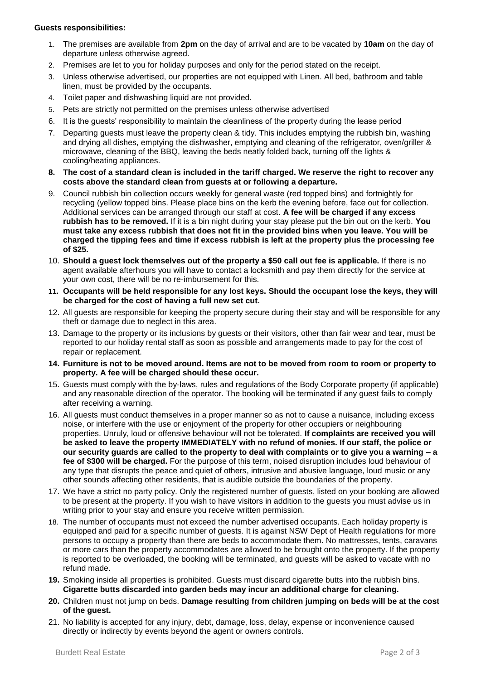#### **Guests responsibilities:**

- 1. The premises are available from **2pm** on the day of arrival and are to be vacated by **10am** on the day of departure unless otherwise agreed.
- 2. Premises are let to you for holiday purposes and only for the period stated on the receipt.
- 3. Unless otherwise advertised, our properties are not equipped with Linen. All bed, bathroom and table linen, must be provided by the occupants.
- 4. Toilet paper and dishwashing liquid are not provided.
- 5. Pets are strictly not permitted on the premises unless otherwise advertised
- 6. It is the guests' responsibility to maintain the cleanliness of the property during the lease period
- 7. Departing guests must leave the property clean & tidy. This includes emptying the rubbish bin, washing and drying all dishes, emptying the dishwasher, emptying and cleaning of the refrigerator, oven/griller & microwave, cleaning of the BBQ, leaving the beds neatly folded back, turning off the lights & cooling/heating appliances.
- **8. The cost of a standard clean is included in the tariff charged. We reserve the right to recover any costs above the standard clean from guests at or following a departure.**
- 9. Council rubbish bin collection occurs weekly for general waste (red topped bins) and fortnightly for recycling (yellow topped bins. Please place bins on the kerb the evening before, face out for collection. Additional services can be arranged through our staff at cost. **A fee will be charged if any excess rubbish has to be removed.** If it is a bin night during your stay please put the bin out on the kerb. **You must take any excess rubbish that does not fit in the provided bins when you leave. You will be charged the tipping fees and time if excess rubbish is left at the property plus the processing fee of \$25.**
- 10. **Should a guest lock themselves out of the property a \$50 call out fee is applicable.** If there is no agent available afterhours you will have to contact a locksmith and pay them directly for the service at your own cost, there will be no re-imbursement for this.
- **11. Occupants will be held responsible for any lost keys. Should the occupant lose the keys, they will be charged for the cost of having a full new set cut.**
- 12. All guests are responsible for keeping the property secure during their stay and will be responsible for any theft or damage due to neglect in this area.
- 13. Damage to the property or its inclusions by guests or their visitors, other than fair wear and tear, must be reported to our holiday rental staff as soon as possible and arrangements made to pay for the cost of repair or replacement.
- **14. Furniture is not to be moved around. Items are not to be moved from room to room or property to property. A fee will be charged should these occur.**
- 15. Guests must comply with the by-laws, rules and regulations of the Body Corporate property (if applicable) and any reasonable direction of the operator. The booking will be terminated if any guest fails to comply after receiving a warning.
- 16. All guests must conduct themselves in a proper manner so as not to cause a nuisance, including excess noise, or interfere with the use or enjoyment of the property for other occupiers or neighbouring properties. Unruly, loud or offensive behaviour will not be tolerated. **If complaints are received you will be asked to leave the property IMMEDIATELY with no refund of monies. If our staff, the police or our security guards are called to the property to deal with complaints or to give you a warning – a fee of \$300 will be charged.** For the purpose of this term, noised disruption includes loud behaviour of any type that disrupts the peace and quiet of others, intrusive and abusive language, loud music or any other sounds affecting other residents, that is audible outside the boundaries of the property.
- 17. We have a strict no party policy. Only the registered number of guests, listed on your booking are allowed to be present at the property. If you wish to have visitors in addition to the guests you must advise us in writing prior to your stay and ensure you receive written permission.
- 18. The number of occupants must not exceed the number advertised occupants. Each holiday property is equipped and paid for a specific number of guests. It is against NSW Dept of Health regulations for more persons to occupy a property than there are beds to accommodate them. No mattresses, tents, caravans or more cars than the property accommodates are allowed to be brought onto the property. If the property is reported to be overloaded, the booking will be terminated, and guests will be asked to vacate with no refund made.
- **19.** Smoking inside all properties is prohibited. Guests must discard cigarette butts into the rubbish bins. **Cigarette butts discarded into garden beds may incur an additional charge for cleaning.**
- **20.** Children must not jump on beds. **Damage resulting from children jumping on beds will be at the cost of the guest.**
- 21. No liability is accepted for any injury, debt, damage, loss, delay, expense or inconvenience caused directly or indirectly by events beyond the agent or owners controls.